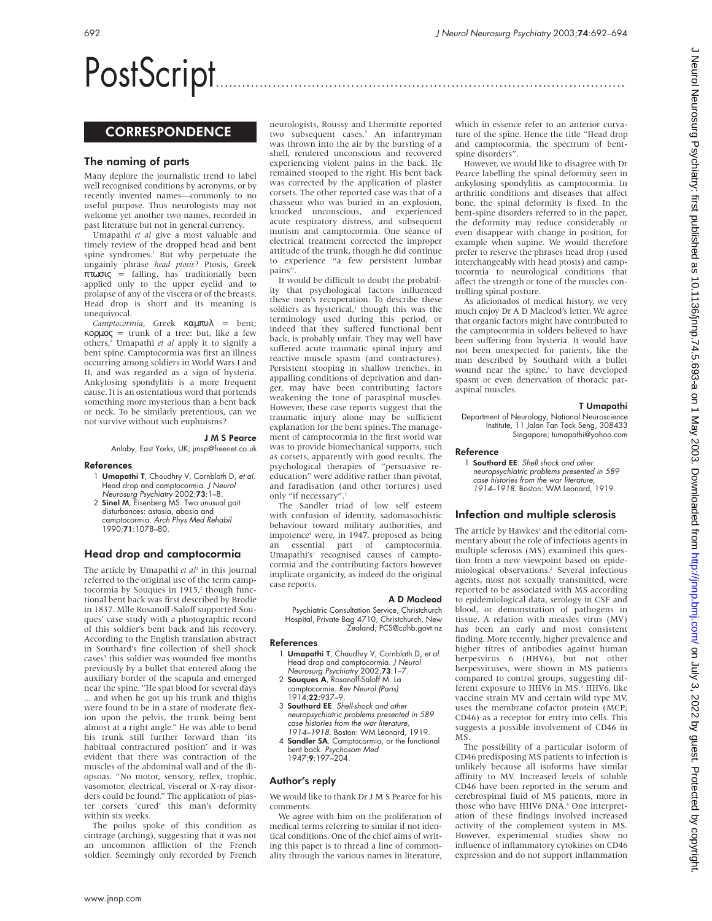# PostScript..............................................................................................

## **CORRESPONDENCE**

## The naming of parts

Many deplore the journalistic trend to label well recognised conditions by acronyms, or by recently invented names—commonly to no useful purpose. Thus neurologists may not welcome yet another two names, recorded in past literature but not in general currency.

Umapathi *et al* give a most valuable and timely review of the dropped head and bent spine syndromes.<sup>1</sup> But why perpetuate the ungainly phrase *head ptosis*? Ptosis, Greek πτωσις = falling, has traditionally been applied only to the upper eyelid and to prolapse of any of the viscera or of the breasts. Head drop is short and its meaning is unequivocal.

*Camptocormia*, Greek καµπυλ = bent; κορµος = trunk of a tree: but, like a few others,2 Umapathi *et al* apply it to signify a bent spine. Camptocormia was first an illness occurring among soldiers in World Wars I and II, and was regarded as a sign of hysteria. Ankylosing spondylitis is a more frequent cause. It is an ostentatious word that portends something more mysterious than a bent back or neck. To be similarly pretentious, can we not survive without such euphuisms?

#### J M S Pearce

Anlaby, East Yorks, UK; jmsp@freenet.co.uk

#### References

- 1 Umapathi T, Choudhry V, Cornblath D, et al. Head drop and camptocormia. J Neurol Neurosurg Psychiatry 2002;73:1–8.
- 2 Sinel M, Eisenberg MS. Two unusual gait disturbances: astasia, abasia and camptocormia. Arch Phys Med Rehabil 1990;71:1078–80.

## Head drop and camptocormia

The article by Umapathi et al<sup>1</sup> in this journal referred to the original use of the term camptocormia by Souques in  $1915$ ,<sup>2</sup> though functional bent back was first described by Brodie in 1837. Mlle Rosanoff-Saloff supported Souques' case study with a photographic record of this soldier's bent back and his recovery. According to the English translation abstract in Southard's fine collection of shell shock cases<sup>3</sup> this soldier was wounded five months previously by a bullet that entered along the auxiliary border of the scapula and emerged near the spine. "He spat blood for several days ... and when he got up his trunk and thighs were found to be in a state of moderate flexion upon the pelvis, the trunk being bent almost at a right angle." He was able to bend his trunk still further forward than 'its habitual contractured position' and it was evident that there was contraction of the muscles of the abdominal wall and of the iliopsoas. "No motor, sensory, reflex, trophic, vasomotor, electrical, visceral or X-ray disorders could be found." The application of plaster corsets 'cured' this man's deformity within six weeks.

The poilus spoke of this condition as cintrage (arching), suggesting that it was not an uncommon affliction of the French soldier. Seemingly only recorded by French

neurologists, Roussy and Lhermitte reported two subsequent cases.<sup>3</sup> An infantryman was thrown into the air by the bursting of a shell, rendered unconscious and recovered experiencing violent pains in the back. He remained stooped to the right. His bent back was corrected by the application of plaster corsets. The other reported case was that of a chasseur who was buried in an explosion, knocked unconscious, and experienced acute respiratory distress, and subsequent mutism and camptocormia. One séance of electrical treatment corrected the improper attitude of the trunk, though he did continue to experience "a few persistent lumbar pains".

It would be difficult to doubt the probability that psychological factors influenced these men's recuperation. To describe these soldiers as hysterical,<sup>1</sup> though this was the terminology used during this period, or indeed that they suffered functional bent back, is probably unfair. They may well have suffered acute traumatic spinal injury and reactive muscle spasm (and contractures). Persistent stooping in shallow trenches, in appalling conditions of deprivation and danger, may have been contributing factors weakening the tone of paraspinal muscles. However, these case reports suggest that the traumatic injury alone may be sufficient explanation for the bent spines. The management of camptocormia in the first world war was to provide biomechanical supports, such as corsets, apparently with good results. The psychological therapies of "persuasive reeducation" were additive rather than pivotal, and faradisation (and other tortures) used only "if necessary".

The Sandler triad of low self esteem with confusion of identity, sadomasochistic behaviour toward military authorities, and impotence<sup>4</sup> were, in 1947, proposed as being an essential part of camptocormia. Umapathi's<sup>1</sup> recognised causes of camptocormia and the contributing factors however implicate organicity, as indeed do the original case reports.

#### A D Macleod

Psychiatric Consultation Service, Christchurch Hospital, Private Bag 4710, Christchurch, New Zealand; PCS@cdhb.govt.nz

#### References

- 1 Umapathi T, Chaudhry V, Cornblath D, et al. Head drop and camptocormia. J Neurol Neurosurg Psychiatry 2002;73:1–7.
- 2 Souques A, Rosanoff-Saloff M. La camptocormie. Rev Neurol (Paris)
- 1914;**22**:937–9. 3 Southard EE. Shell-shock and other
- neuropsychiatric problems presented in 589 case histories from the war literature, 1914–1918. Boston: WM Leonard, 1919.
- 4 Sandler SA. Camptocormia, or the functional bent back. Psychosom Med 1947;9:197–204.

#### Author's reply

We would like to thank Dr J M S Pearce for his comments.

We agree with him on the proliferation of medical terms referring to similar if not identical conditions. One of the chief aims of writing this paper is to thread a line of commonality through the various names in literature,

which in essence refer to an anterior curvature of the spine. Hence the title "Head drop and camptocormia, the spectrum of bentspine disorders".

However, we would like to disagree with Dr Pearce labelling the spinal deformity seen in ankylosing spondylitis as camptocormia. In arthritic conditions and diseases that affect bone, the spinal deformity is fixed. In the bent-spine disorders referred to in the paper, the deformity may reduce considerably or even disappear with change in position, for example when supine. We would therefore prefer to reserve the phrases head drop (used interchangeably with head ptosis) and camptocormia to neurological conditions that affect the strength or tone of the muscles controlling spinal posture.

As aficionados of medical history, we very much enjoy Dr A D Macleod's letter. We agree that organic factors might have contributed to the camptocormia in solders believed to have been suffering from hysteria. It would have not been unexpected for patients, like the man described by Southard with a bullet wound near the spine,<sup>1</sup> to have developed spasm or even denervation of thoracic paraspinal muscles.

#### T Umapathi

Department of Neurology, National Neuroscience Institute, 11 Jalan Tan Tock Seng, 308433 Singapore; tumapathi@yahoo.com

#### Reference

1 Southard EE. Shell shock and other neuropsychiatric problems presented in 589 case histories from the war literature, 1914–1918. Boston: WM Leonard, 1919.

## Infection and multiple sclerosis

The article by Hawkes<sup>1</sup> and the editorial commentary about the role of infectious agents in multiple sclerosis (MS) examined this question from a new viewpoint based on epidemiological observations.2 Several infectious agents, most not sexually transmitted, were reported to be associated with MS according to epidemiological data, serology in CSF and blood, or demonstration of pathogens in tissue. A relation with measles virus (MV) has been an early and most consistent finding. More recently, higher prevalence and higher titres of antibodies against human herpesvirus 6 (HHV6), but not other herpesviruses, were shown in MS patients compared to control groups, suggesting different exposure to HHV6 in MS.<sup>3</sup> HHV6, like vaccine strain MV and certain wild type MV, uses the membrane cofactor protein (MCP; CD46) as a receptor for entry into cells. This suggests a possible involvement of CD46 in MS.

The possibility of a particular isoform of CD46 predisposing MS patients to infection is unlikely because all isoforms have similar affinity to MV. Increased levels of soluble CD46 have been reported in the serum and cerebrospinal fluid of MS patients, more in those who have HHV6 DNA.<sup>4</sup> One interpretation of these findings involved increased activity of the complement system in MS. However, experimental studies show no influence of inflammatory cytokines on CD46 expression and do not support inflammation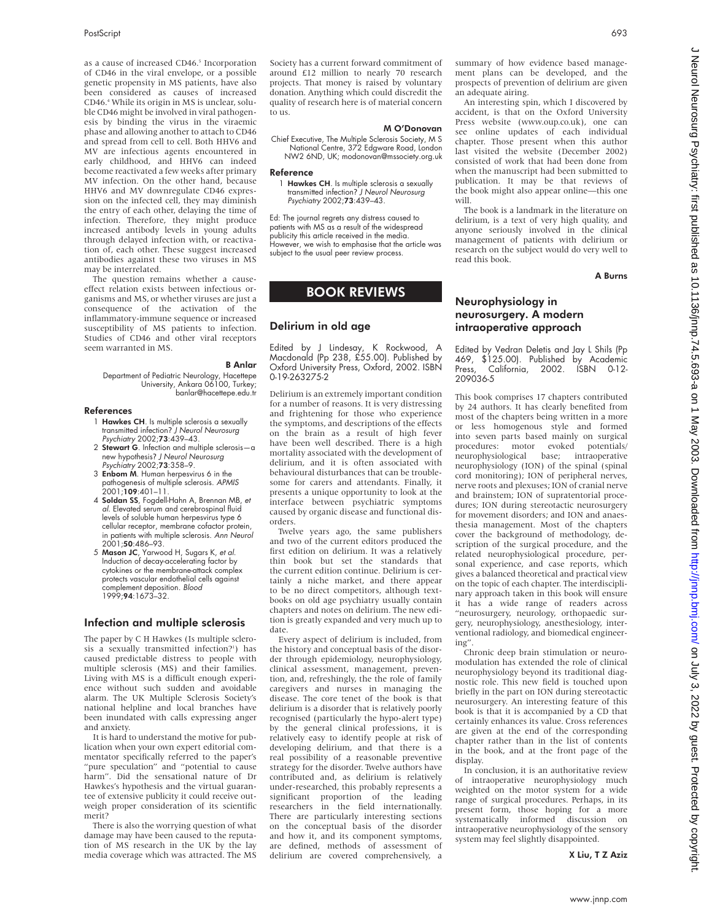as a cause of increased CD46.<sup>5</sup> Incorporation of CD46 in the viral envelope, or a possible genetic propensity in MS patients, have also been considered as causes of increased CD46.4 While its origin in MS is unclear, soluble CD46 might be involved in viral pathogenesis by binding the virus in the viraemic phase and allowing another to attach to CD46 and spread from cell to cell. Both HHV6 and MV are infectious agents encountered in early childhood, and HHV6 can indeed become reactivated a few weeks after primary MV infection. On the other hand, because HHV6 and MV downregulate CD46 expression on the infected cell, they may diminish the entry of each other, delaying the time of infection. Therefore, they might produce increased antibody levels in young adults through delayed infection with, or reactivation of, each other. These suggest increased antibodies against these two viruses in MS may be interrelated.

The question remains whether a causeeffect relation exists between infectious organisms and MS, or whether viruses are just a consequence of the activation of the inflammatory-immune sequence or increased susceptibility of MS patients to infection. Studies of CD46 and other viral receptors seem warranted in MS.

B Anlar

Department of Pediatric Neurology, Hacettepe University, Ankara 06100, Turkey; banlar@hacettepe.edu.tr

#### References

- 1 **Hawkes CH**. Is multiple sclerosis a sexually transmitted infection? J Neurol Neurosurg Psychiatry 2002;73:439–43.
- 2 Stewart G. Infection and multiple sclerosis-a new hypothesis? J Neurol Neurosurg Psychiatry 2002;73:358–9.
- 3 Enbom M. Human herpesvirus 6 in the pathogenesis of multiple sclerosis. APMIS  $2001$ ;109:401–11.
- 4 Soldan SS, Fogdell-Hahn A, Brennan MB, et al. Elevated serum and cerebrospinal fluid levels of soluble human herpesvirus type 6 cellular receptor, membrane cofactor protein, in patients with multiple sclerosis. Ann Neurol 2001;50:486–93.
- 5 Mason JC, Yarwood H, Sugars K, et al. Induction of decay-accelerating factor by cytokines or the membrane-attack complex protects vascular endothelial cells against complement deposition. Blood 1999;94:1673–32.

## Infection and multiple sclerosis

The paper by C H Hawkes (Is multiple sclerosis a sexually transmitted infection?<sup>1</sup>) has caused predictable distress to people with multiple sclerosis (MS) and their families. Living with MS is a difficult enough experience without such sudden and avoidable alarm. The UK Multiple Sclerosis Society's national helpline and local branches have been inundated with calls expressing anger and anxiety.

It is hard to understand the motive for publication when your own expert editorial commentator specifically referred to the paper's "pure speculation" and "potential to cause harm". Did the sensational nature of Dr Hawkes's hypothesis and the virtual guarantee of extensive publicity it could receive outweigh proper consideration of its scientific merit?

There is also the worrying question of what damage may have been caused to the reputation of MS research in the UK by the lay media coverage which was attracted. The MS Society has a current forward commitment of around £12 million to nearly 70 research projects. That money is raised by voluntary donation. Anything which could discredit the quality of research here is of material concern to us.

#### M O'Donovan

Chief Executive, The Multiple Sclerosis Society, M S National Centre, 372 Edgware Road, London NW2 6ND, UK; modonovan@mssociety.org.uk

#### Reference

1 Hawkes CH. Is multiple sclerosis a sexually transmitted infection? J Neurol Neurosurg Psychiatry 2002;73:439–43.

Ed: The journal regrets any distress caused to patients with MS as a result of the widespread publicity this article received in the media. However, we wish to emphasise that the article was subject to the usual peer review process.

## BOOK REVIEWS

## Delirium in old age

Edited by J Lindesay, K Rockwood, A Macdonald (Pp 238, £55.00). Published by Oxford University Press, Oxford, 2002. ISBN 0-19-263275-2

Delirium is an extremely important condition for a number of reasons. It is very distressing and frightening for those who experience the symptoms, and descriptions of the effects on the brain as a result of high fever have been well described. There is a high mortality associated with the development of delirium, and it is often associated with behavioural disturbances that can be troublesome for carers and attendants. Finally, it presents a unique opportunity to look at the interface between psychiatric symptoms caused by organic disease and functional disorders.

Twelve years ago, the same publishers and two of the current editors produced the first edition on delirium. It was a relatively thin book but set the standards that the current edition continue. Delirium is certainly a niche market, and there appear to be no direct competitors, although textbooks on old age psychiatry usually contain chapters and notes on delirium. The new edition is greatly expanded and very much up to date.

Every aspect of delirium is included, from the history and conceptual basis of the disorder through epidemiology, neurophysiology, clinical assessment, management, prevention, and, refreshingly, the the role of family caregivers and nurses in managing the disease. The core tenet of the book is that delirium is a disorder that is relatively poorly recognised (particularly the hypo-alert type) by the general clinical professions, it is relatively easy to identify people at risk of developing delirium, and that there is a real possibility of a reasonable preventive strategy for the disorder. Twelve authors have contributed and, as delirium is relatively under-researched, this probably represents a significant proportion of the leading researchers in the field internationally. There are particularly interesting sections on the conceptual basis of the disorder and how it, and its component symptoms, are defined, methods of assessment of delirium are covered comprehensively, a summary of how evidence based management plans can be developed, and the prospects of prevention of delirium are given an adequate airing.

An interesting spin, which I discovered by accident, is that on the Oxford University Press website (www.oup.co.uk), one can see online updates of each individual chapter. Those present when this author last visited the website (December 2002) consisted of work that had been done from when the manuscript had been submitted to publication. It may be that reviews of the book might also appear online—this one will.

The book is a landmark in the literature on delirium, is a text of very high quality, and anyone seriously involved in the clinical management of patients with delirium or research on the subject would do very well to read this book.

A Burns

## Neurophysiology in neurosurgery. A modern intraoperative approach

Edited by Vedran Deletis and Jay L Shils (Pp 469, \$125.00). Published by Academic California, 2002. ISBN 0-12-209036-5

This book comprises 17 chapters contributed by 24 authors. It has clearly benefited from most of the chapters being written in a more or less homogenous style and formed into seven parts based mainly on surgical procedures: motor evoked potentials/<br>
neurophysiological base: intraoperative neurophysiological base; neurophysiology (ION) of the spinal (spinal cord monitoring); ION of peripheral nerves, nerve roots and plexuses; ION of cranial nerve and brainstem; ION of supratentorial procedures; ION during stereotactic neurosurgery for movement disorders; and ION and anaesthesia management. Most of the chapters cover the background of methodology, description of the surgical procedure, and the related neurophysiological procedure, personal experience, and case reports, which gives a balanced theoretical and practical view on the topic of each chapter. The interdisciplinary approach taken in this book will ensure it has a wide range of readers across "neurosurgery, neurology, orthopaedic surgery, neurophysiology, anesthesiology, interventional radiology, and biomedical engineering".

Chronic deep brain stimulation or neuromodulation has extended the role of clinical neurophysiology beyond its traditional diagnostic role. This new field is touched upon briefly in the part on ION during stereotactic neurosurgery. An interesting feature of this book is that it is accompanied by a CD that certainly enhances its value. Cross references are given at the end of the corresponding chapter rather than in the list of contents in the book, and at the front page of the display.

In conclusion, it is an authoritative review of intraoperative neurophysiology much weighted on the motor system for a wide range of surgical procedures. Perhaps, in its present form, those hoping for a more systematically informed discussion on intraoperative neurophysiology of the sensory system may feel slightly disappointed.

X Liu, T Z Aziz